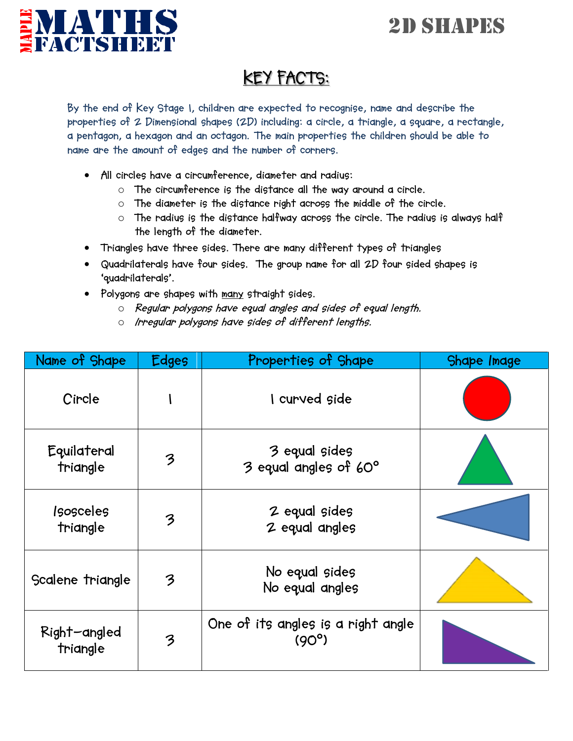## 2D SHAPES



## **KEY FACTS:**

**By the end of Key Stage 1, children are expected to recognise, name and describe the properties of 2 Dimensional shapes (2D) including: a circle, a triangle, a square, a rectangle, a pentagon, a hexagon and an octagon. The main properties the children should be able to name are the amount of edges and the number of corners.** 

- **All circles have a circumference, diameter and radius:**
	- o **The circumference is the distance all the way around a circle.**
	- o **The diameter is the distance right across the middle of the circle.**
	- o **The radius is the distance halfway across the circle. The radius is always half the length of the diameter.**
- **Triangles have three sides. There are many different types of triangles**
- **Quadrilaterals have four sides. The group name for all 2D four sided shapes is 'quadrilaterals'.**
- **Polygons are shapes with many straight sides.**
	- o **Regular polygons have equal angles and sides of equal length.**
	- o **Irregular polygons have sides of different lengths.**

| Name of Shape                | <b>Edges</b> | Properties of Shape                                | Shape Image |
|------------------------------|--------------|----------------------------------------------------|-------------|
| Circle                       |              | I curved side                                      |             |
| Equilateral<br>triangle      | 3            | 3 equal sides<br>3 equal angles of 60°             |             |
| <i>Isosceles</i><br>triangle | 3            | 2 equal sides<br>2 equal angles                    |             |
| Scalene triangle             | 3            | No equal sides<br>No equal angles                  |             |
| Right-angled<br>triangle     | 3            | One of its angles is a right angle<br>$(90^\circ)$ |             |